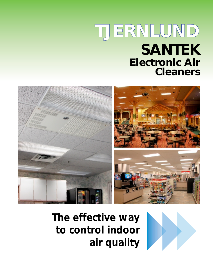# **SANTEK Electronic Air Cleaners TJERNLUND**



*The effective way to control indoor air quality*

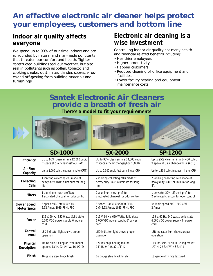# **An effective electronic air cleaner helps protect your employees, customers and bottom line**

# **Indoor air quality affects everyone**

We spend up to 90% of our time indoors and are surrounded by natural and man-made pollutants that threaten our comfort and health. Tighter constructed buildings seal out weather, but also seal in pollutants such as pollen, tobacco and cooking smoke, dust, mites, dander, spores, viruses and off-gassing from building materials and furnishings.

# **Electronic air cleaning is a wise investment**

Controlling indoor air quality has many health and financial related benefits including:

- Healthier employees
- Higher productivity
- Happier customers
- Reduced cleaning of office equipment and facilities
- Lower facility heating and equipment maintenance costs

# **Santek Electronic Air Cleaners provide a breath of fresh air**

*There's a model to fit your requirements*







|                             | <b>SD-1000</b>                                                                   | <b>SX-2000</b>                                                                    | <b>SP-1200</b>                                                                    |
|-----------------------------|----------------------------------------------------------------------------------|-----------------------------------------------------------------------------------|-----------------------------------------------------------------------------------|
| Efficiency                  | Up to 95% clean air in a 12,000 cubic                                            | Up to 95% clean air in a 24,000 cubic                                             | Up to 95% clean air in a 14,400 cubic                                             |
|                             | ft space at 5 air changes/hour. (ACH)                                            | ft space at 5 air changes/hour. (ACH)                                             | ft space at 5 air changes/hour. (ACH)                                             |
| <b>Air Flow</b><br>Capacity | Up to 1,000 cubic feet per minute (CFM)                                          | Up to 2,000 cubic feet per minute (CFM)                                           | Up to 1,200 cubic feet per minute (CFM)                                           |
| Collecting<br>Cells         | 1 ionizing collecting cell made of<br>heavy duty .040" aluminum for long<br>life | 2 ionizing collecting cells made of<br>heavy duty .040" aluminum for long<br>life | 2 ionizing collecting cells made of<br>heavy duty .040" aluminum for long<br>life |
| <b>Filters</b>              | 1 aluminum mesh prefilter;                                                       | 2 aluminum mesh prefilter;                                                        | 1 polyester 22% efficient prefilter;                                              |
|                             | 1 activated charcoal for odor control                                            | 2 activated charcoal for odor control                                             | 2 activated charcoal for odor control                                             |
| <b>Blower Speed</b>         | 3-speed 500/750/1000 CFM,                                                        | 3-speed 1000/1500/2000 CFM,                                                       | Variable speed 500-1200 CFM,                                                      |
| <b>Motor Specs</b>          | 2.92 Amps, 1085 RPM, PSC                                                         | 2 @ 2.92 Amps, 1085 RPM, PSC                                                      | 2 Amps                                                                            |
| Power                       | 115 V, 60 Hz, 350 Watts, Solid state                                             | 115 V, 60 Hz, 650 Watts, Solid state                                              | 115 V, 60 Hz, 240 Watts, solid state                                              |
|                             | 6,000 VDC power supply, 6' power                                                 | 6,000 VDC power supply, 6' power                                                  | 6,000 VDC power supply, 6' power                                                  |
|                             | cord                                                                             | cord                                                                              | cord                                                                              |
| Control                     | LED indicator light shows proper                                                 | LED indicator light shows proper                                                  | LED indicator light shows proper                                                  |
| Panel                       | operation                                                                        | operation                                                                         | operation                                                                         |
| Physical                    | 70 lbs. ship, Ceiling or Wall mount                                              | 120 lbs. ship, Ceiling mount.                                                     | 110 lbs. ship, Flush in Ceiling mount. 9                                          |
| Description                 | options. 13"H, 22 1/4"W, 16 1/2"D                                                | 14" H, 24" W, 32 1/4" D                                                           | 1/2"H, 22 3/4"W, 46 3/4"L                                                         |
| Finish                      | 16 gauge steel black finish                                                      | 16 gauge steel black finish                                                       | 18 gauge off white textured                                                       |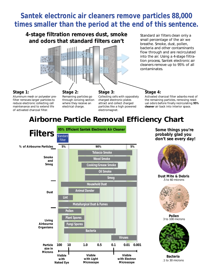# **Santek electronic air cleaners remove particles 88,000 times smaller than the period at the end of this sentence.**

*4-stage filtration removes dust, smoke and odors that standard filters can't*



Standard air filters clean only a small percentage of the air we breathe. Smoke, dust, pollen, bacteria and other contaminants flow through and are recirculated into the air. Using a 4-stage filtration process, Santek electronic air cleaners remove up to 95% of all contaminates.

#### **Stage 1:**

Aluminum mesh or polyester prefilter removes larger particles to reduce electronic collecting cell maintenance and to extend life of activated charcoal filter.

**Stage 2:** Remaining particles go through ionizing section where they receive an electrical charge.

**Stage 3:** Collecting cells with oppositely charged electronic plates attract and collect charged particles like a high powered electromagnet.

#### **Stage 4:**

Activated charcoal filter adsorbs most of the remaining particles, removing residual odors before finally recirculating **95% cleaner** air back into interior space.

# **Airborne Particle Removal Efficiency Chart**



*Some things you're probably glad you don't see every day!*



**Dust Mite & Debris** .5 to 60 microns



**Pollen** 3 to 100 microns



**Bacteria** .1 to 30 microns